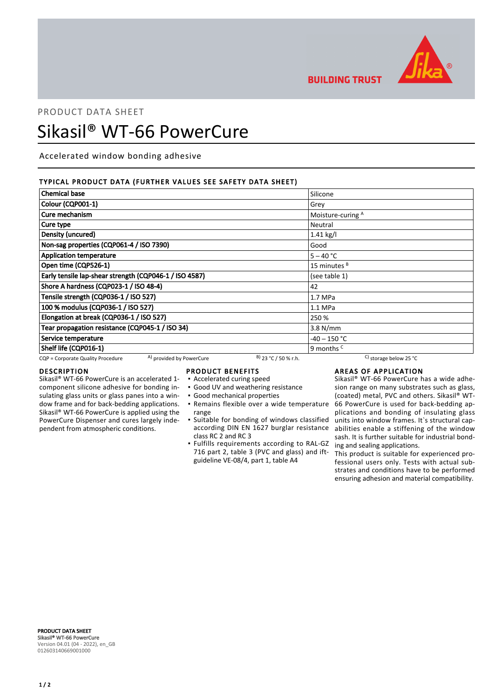

**BUILDING TRUST** 

# PRODUCT DATA SHEET Sikasil® WT-66 PowerCure

Accelerated window bonding adhesive

# TYPICAL PRODUCT DATA (FURTHER VALUES SEE SAFETY DATA SHEET)

| <b>Chemical base</b>                                          |                        | Silicone                         |  |
|---------------------------------------------------------------|------------------------|----------------------------------|--|
| Colour (CQP001-1)                                             |                        | Grey                             |  |
| Cure mechanism                                                |                        | Moisture-curing A                |  |
| Cure type                                                     | Neutral                |                                  |  |
| Density (uncured)<br>1.41 kg/l                                |                        |                                  |  |
| Non-sag properties (CQP061-4 / ISO 7390)                      |                        | Good                             |  |
| <b>Application temperature</b>                                |                        | $5 - 40 °C$                      |  |
| Open time (CQP526-1)                                          |                        | 15 minutes <sup>B</sup>          |  |
| Early tensile lap-shear strength (CQP046-1 / ISO 4587)        |                        | (see table 1)                    |  |
| Shore A hardness (CQP023-1 / ISO 48-4)                        |                        | 42                               |  |
| Tensile strength (CQP036-1 / ISO 527)                         |                        | 1.7 MPa                          |  |
| 100 % modulus (CQP036-1 / ISO 527)                            |                        | $1.1$ MPa                        |  |
| Elongation at break (CQP036-1 / ISO 527)                      |                        | 250 %                            |  |
| Tear propagation resistance (CQP045-1 / ISO 34)               |                        | $3.8$ N/mm                       |  |
| Service temperature                                           |                        | $-40 - 150$ °C                   |  |
| Shelf life (CQP016-1)                                         |                        | 9 months <sup>c</sup>            |  |
| A) provided by PowerCure<br>CQP = Corporate Quality Procedure | $B)$ 23 °C / 50 % r.h. | C) storage below 25 $^{\circ}$ C |  |

## DESCRIPTION

Sikasil® WT-66 PowerCure is an accelerated 1 component silicone adhesive for bonding insulating glass units or glass panes into a window frame and for back-bedding applications. Sikasil® WT-66 PowerCure is applied using the PowerCure Dispenser and cures largely independent from atmospheric conditions.

# PRODUCT BENEFITS

- Accelerated curing speed
- Good UV and weathering resistance
- Good mechanical properties
- range
- Suitable for bonding of windows classified according DIN EN 1627 burglar resistance class RC 2 and RC 3
- **.** Fulfills requirements according to RAL-GZ 716 part 2, table 3 (PVC and glass) and iftguideline VE-08/4, part 1, table A4

# AREAS OF APPLICATION

Remains flexible over a wide temperature ▪ 66 PowerCure is used for back-bedding ap-Sikasil® WT-66 PowerCure has a wide adhesion range on many substrates such as glass, (coated) metal, PVC and others. Sikasil® WTplications and bonding of insulating glass units into window frames. It`s structural capabilities enable a stiffening of the window sash. It is further suitable for industrial bonding and sealing applications.

This product is suitable for experienced professional users only. Tests with actual substrates and conditions have to be performed ensuring adhesion and material compatibility.

PRODUCT DATA SHEET Sikasil® WT-66 PowerCure Version 04.01 (04 - 2022), en\_GB 012603140669001000